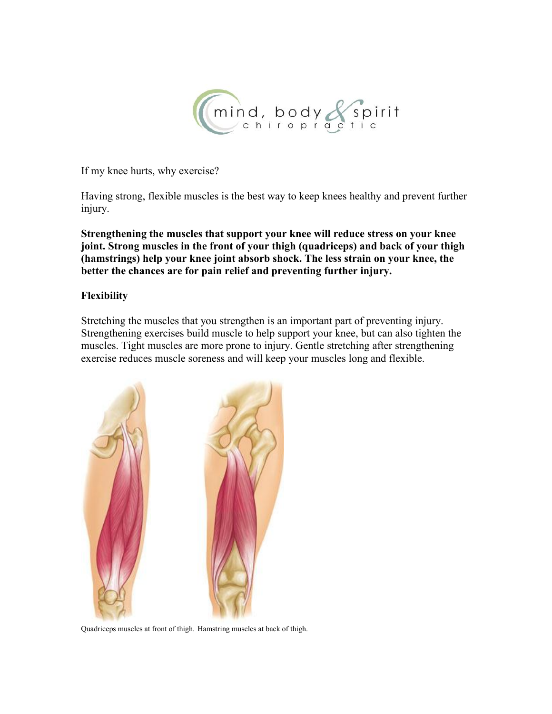

If my knee hurts, why exercise?

Having strong, flexible muscles is the best way to keep knees healthy and prevent further injury.

**Strengthening the muscles that support your knee will reduce stress on your knee joint. Strong muscles in the front of your thigh (quadriceps) and back of your thigh (hamstrings) help your knee joint absorb shock. The less strain on your knee, the better the chances are for pain relief and preventing further injury.**

### **Flexibility**

Stretching the muscles that you strengthen is an important part of preventing injury. Strengthening exercises build muscle to help support your knee, but can also tighten the muscles. Tight muscles are more prone to injury. Gentle stretching after strengthening exercise reduces muscle soreness and will keep your muscles long and flexible.



Quadriceps muscles at front of thigh. Hamstring muscles at back of thigh.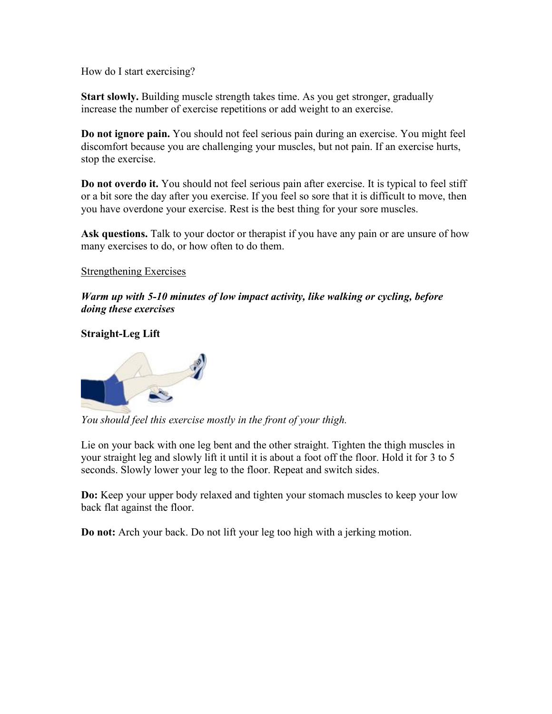How do I start exercising?

**Start slowly.** Building muscle strength takes time. As you get stronger, gradually increase the number of exercise repetitions or add weight to an exercise.

**Do not ignore pain.** You should not feel serious pain during an exercise. You might feel discomfort because you are challenging your muscles, but not pain. If an exercise hurts, stop the exercise.

**Do not overdo it.** You should not feel serious pain after exercise. It is typical to feel stiff or a bit sore the day after you exercise. If you feel so sore that it is difficult to move, then you have overdone your exercise. Rest is the best thing for your sore muscles.

**Ask questions.** Talk to your doctor or therapist if you have any pain or are unsure of how many exercises to do, or how often to do them.

### Strengthening Exercises

*Warm up with 5-10 minutes oflow impact activity, like walking or cycling, before doing these exercises*

### **Straight-Leg Lift**



*You should feel this exercise mostly in the front of your thigh.*

Lie on your back with one leg bent and the other straight. Tighten the thigh muscles in your straight leg and slowly lift it until it is about a foot off the floor. Hold it for 3 to 5 seconds. Slowly lower your leg to the floor. Repeat and switch sides.

**Do:** Keep your upper body relaxed and tighten your stomach muscles to keep your low back flat against the floor.

**Do not:** Arch your back. Do not lift your leg too high with a jerking motion.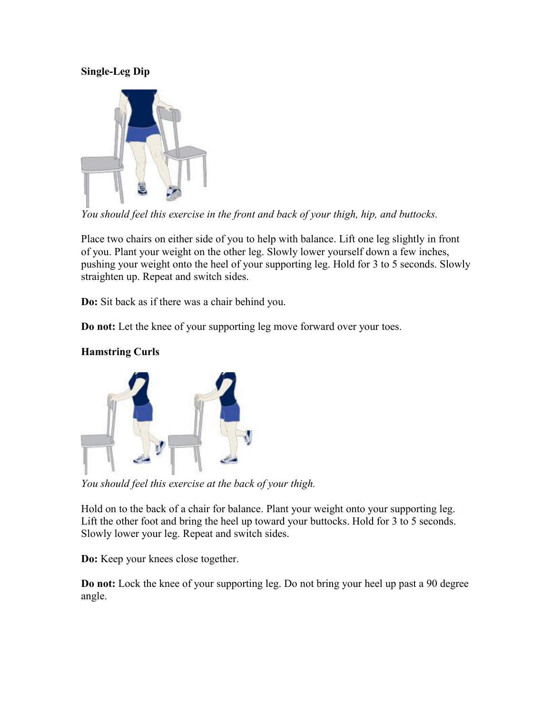## **Single-Leg Dip**



*You should feel this exercise in the front and back of your thigh, hip, and buttocks.*

Place two chairs on either side of you to help with balance. Lift one leg slightly in front of you. Plant your weight on the other leg. Slowly lower yourself down a few inches, pushing your weight onto the heel of your supporting leg. Hold for 3 to 5 seconds. Slowly straighten up. Repeat and switch sides.

**Do:** Sit back as if there was a chair behind you.

**Do not:** Let the knee of your supporting leg move forward over your toes.



# **Hamstring Curls**

*You should feel this exercise at the back ofyour thigh.*

Hold on to the back of a chair for balance. Plant your weight onto your supporting leg. Lift the other foot and bring the heel up toward your buttocks. Hold for 3 to 5 seconds. Slowly lower your leg. Repeat and switch sides.

**Do:** Keep your knees close together.

**Do not:** Lock the knee of your supporting leg. Do not bring your heel up past a 90 degree angle.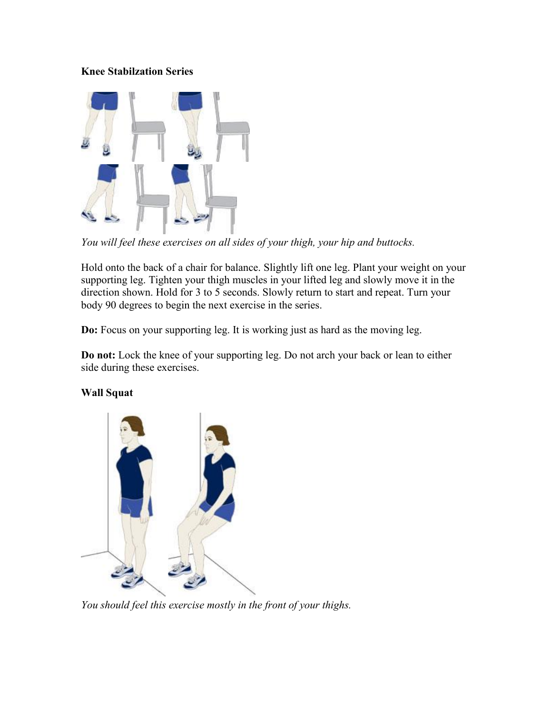## **Knee Stabilzation Series**



*You will feel these exercises on all sides of your thigh, your hip and buttocks.*

Hold onto the back of a chair for balance. Slightly lift one leg. Plant your weight on your supporting leg. Tighten your thigh muscles in your lifted leg and slowly move it in the direction shown. Hold for 3 to 5 seconds. Slowly return to start and repeat. Turn your body 90 degrees to begin the next exercise in the series.

**Do:** Focus on your supporting leg. It is working just as hard as the moving leg.

**Do not:** Lock the knee of your supporting leg. Do not arch your back or lean to either side during these exercises.



### **Wall Squat**

*You should feel this exercise mostly in the front of your thighs.*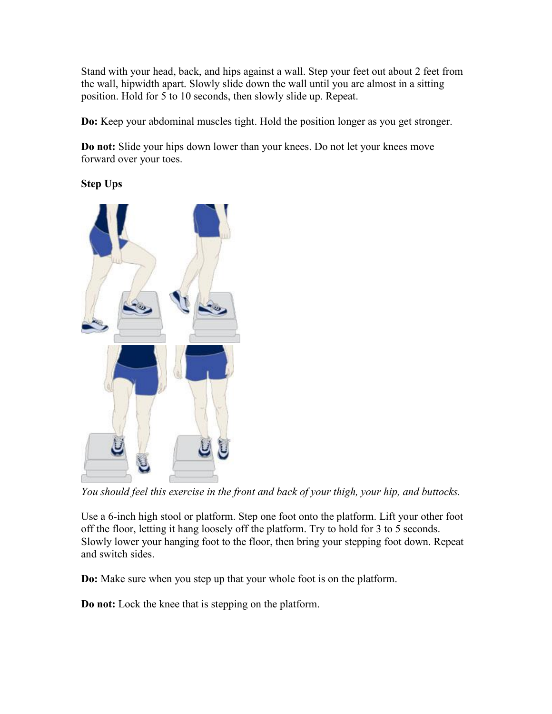Stand with your head, back, and hips against a wall. Step your feet out about 2 feet from the wall, hipwidth apart. Slowly slide down the wall until you are almost in a sitting position. Hold for 5 to 10 seconds, then slowly slide up. Repeat.

**Do:** Keep your abdominal muscles tight. Hold the position longer as you get stronger.

**Do** not: Slide your hips down lower than your knees. Do not let your knees move forward over your toes.

**Step Ups**



*You should feel this exercise in the front and back of your thigh, your hip, and buttocks.*

Use a 6-inch high stool or platform. Step one foot onto the platform. Lift your other foot off the floor, letting it hang loosely off the platform. Try to hold for 3 to 5 seconds. Slowly lower your hanging foot to the floor, then bring your stepping foot down. Repeat and switch sides.

**Do:** Make sure when you step up that your whole foot is on the platform.

**Do not:** Lock the knee that is stepping on the platform.